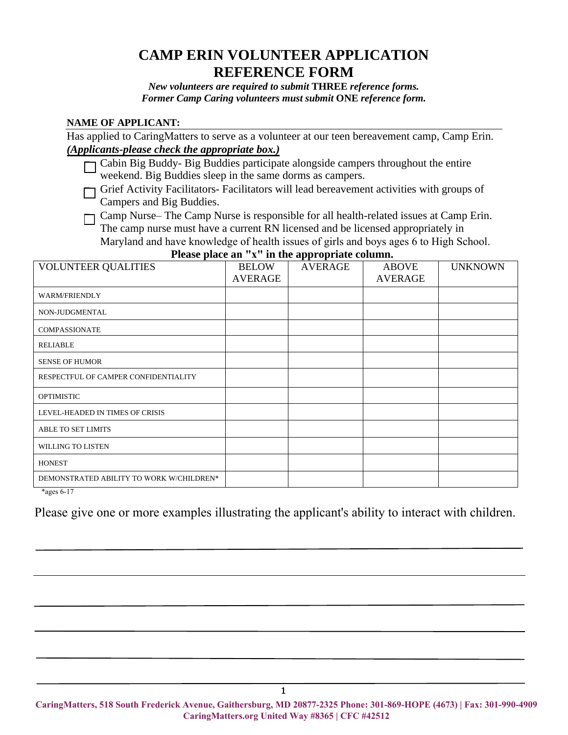## **CAMP ERIN VOLUNTEER APPLICATION REFERENCE FORM**

*New volunteers are required to submit* **THREE** *reference forms. Former Camp Caring volunteers must submit* **ONE** *reference form.* 

## **NAME OF APPLICANT:**

Has applied to CaringMatters to serve as a volunteer at our teen bereavement camp, Camp Erin. *(Applicants-please check the appropriate box.)*

□ Cabin Big Buddy- Big Buddies participate alongside campers throughout the entire weekend. Big Buddies sleep in the same dorms as campers.

Grief Activity Facilitators- Facilitators will lead bereavement activities with groups of Campers and Big Buddies.

Camp Nurse– The Camp Nurse is responsible for all health-related issues at Camp Erin. The camp nurse must have a current RN licensed and be licensed appropriately in Maryland and have knowledge of health issues of girls and boys ages 6 to High School.

VOLUNTEER QUALITIES BELOW AVERAGE AVERAGE ABOVE AVERAGE **UNKNOWN** WARM/FRIENDLY NON-JUDGMENTAL COMPASSIONATE RELIABLE SENSE OF HUMOR RESPECTFUL OF CAMPER CONFIDENTIALITY OPTIMISTIC LEVEL-HEADED IN TIMES OF CRISIS ABLE TO SET LIMITS WILLING TO LISTEN **HONEST** DEMONSTRATED ABILITY TO WORK W/CHILDREN\*

**Please place an "x" in the appropriate column.**

\*ages 6-17

Please give one or more examples illustrating the applicant's ability to interact with children.